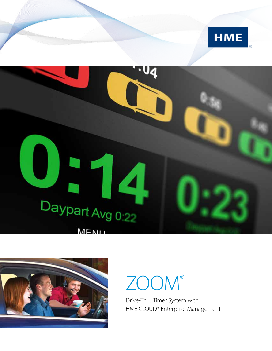





# ZOOM®

Drive-Thru Timer System with HME CLOUD® Enterprise Management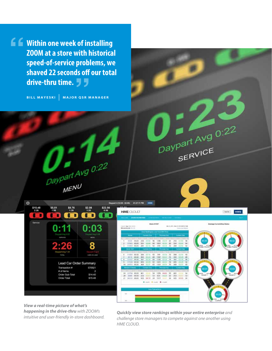**Within one week of installing ZOOM at a store with historical speed-of-service problems, we shaved 22 seconds off our total drive-thru time. "** prost<br>ls off<br>**フ フ** 

**BILL MAYESKI | MAJOR QSR MANAGER**

U.

 $\boldsymbol{\mathcal{A}}$ 

¢ part 4 (12:00 - 02:00) 01:27:11 PM  $515.48$ <br> $2.26$ \$5.51  $$8.76$  $$22.56$ <br> $0.56$  $$2.08$ <br> $1:20$ o o  $\mathbf{C}$  $\blacksquare$ п 0:03 8 Lead Car Order Summary Transaction # 570921 # of items Order Sub-Total \$14.40 \$15.48 Order Total

 $D$  paypart Avg 0:22

MENU



Daypart Avg 0:22

BERVICE<br>SERVICE

*View a real-time picture of what's happening in the drive-thru with ZOOM's intuitive and user-friendly in-store dashboard.*

*Quickly view store rankings within your entire enterprise and challenge store managers to compete against one another using HME CLOUD.*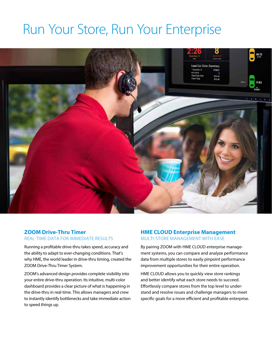### Run Your Store, Run Your Enterprise



#### **ZOOM Drive-Thru Timer** REAL-TIME DATA FOR IMMEDIATE RESULTS

Running a profitable drive-thru takes speed, accuracy and the ability to adapt to ever-changing conditions. That's why HME, the world leader in drive-thru timing, created the ZOOM Drive-Thru Timer System.

ZOOM's advanced design provides complete visibility into your entire drive-thru operation. Its intuitive, multi-color dashboard provides a clear picture of what is happening in the drive-thru in real-time. This allows managers and crew to instantly identify bottlenecks and take immediate action to speed things up.

### **HME CLOUD Enterprise Management** MULTI-STORE MANAGEMENT WITH EASE

By pairing ZOOM with HME CLOUD enterprise management systems, you can compare and analyze performance data from multiple stores to easily pinpoint performance improvement opportunities for their entire operation.

HME CLOUD allows you to quickly view store rankings and better identify what each store needs to succeed. Effortlessly compare stores from the top level to understand and resolve issues and challenge managers to meet specific goals for a more efficient and profitable enterprise.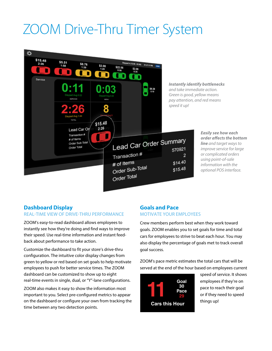# ZOOM Drive-Thru Timer System



### **Dashboard Display**

#### REAL-TIME VIEW OF DRIVE-THRU PERFORMANCE

ZOOM's easy-to-read dashboard allows employees to instantly see how they're doing and find ways to improve their speed. Use real-time information and instant feedback about performance to take action.

Customize the dashboard to fit your store's drive-thru configuration. The intuitive color display changes from green to yellow or red based on set goals to help motivate employees to push for better service times. The ZOOM dashboard can be customized to show up to eight real-time events in single, dual, or "Y"-lane configurations.

ZOOM also makes it easy to show the information most important to you. Select pre-configured metrics to appear on the dashboard or configure your own from tracking the time between any two detection points.

#### **Goals and Pace**  MOTIVATE YOUR EMPLOYEES

Crew members perform best when they work toward goals. ZOOM enables you to set goals for time and total cars for employees to strive to beat each hour. You may also display the percentage of goals met to track overall goal success.

ZOOM's pace metric estimates the total cars that will be served at the end of the hour based on employees current



speed of service. It shows employees if they're on pace to reach their goal or if they need to speed things up!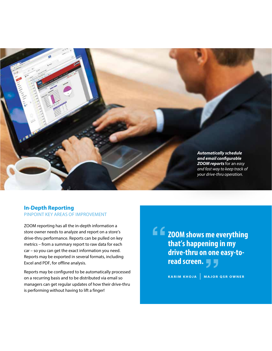

#### **In-Depth Reporting**  PINPOINT KEY AREAS OF IMPROVEMENT

ZOOM reporting has all the in-depth information a store owner needs to analyze and report on a store's drive-thru performance. Reports can be pulled on key metrics – from a summary report to raw data for each car – so you can get the exact information you need. Reports may be exported in several formats, including Excel and PDF, for offline analysis.

Reports may be configured to be automatically processed on a recurring basis and to be distributed via email so managers can get regular updates of how their drive-thru is performing without having to lift a finger!

**ZOOM shows me everything that's happening in my drive-thru on one easy-toread screen. ""**

**KARIM KHOJA | MAJOR QSR OWNER**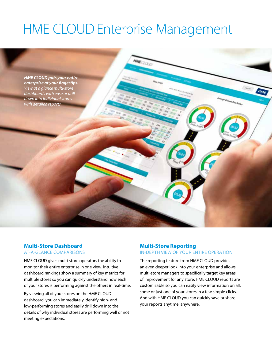# HME CLOUD Enterprise Management



#### **Multi-Store Dashboard** AT-A-GLANCE COMPARISONS

HME CLOUD gives multi-store operators the ability to monitor their entire enterprise in one view. Intuitive dashboard rankings show a summary of key metrics for multiple stores so you can quickly understand how each of your stores is performing against the others in real-time.

By viewing all of your stores on the HME CLOUD dashboard, you can immediately identify high- and low-performing stores and easily drill down into the details of why individual stores are performing well or not meeting expectations.

#### **Multi-Store Reporting**  IN-DEPTH VIEW OF YOUR ENTIRE OPERATION

The reporting feature from HME CLOUD provides an even deeper look into your enterprise and allows multi-store managers to specifically target key areas of improvement for any store. HME CLOUD reports are customizable so you can easily view information on all, some or just one of your stores in a few simple clicks. And with HME CLOUD you can quickly save or share your reports anytime, anywhere.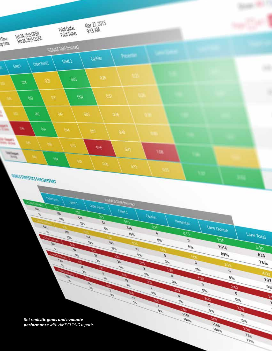